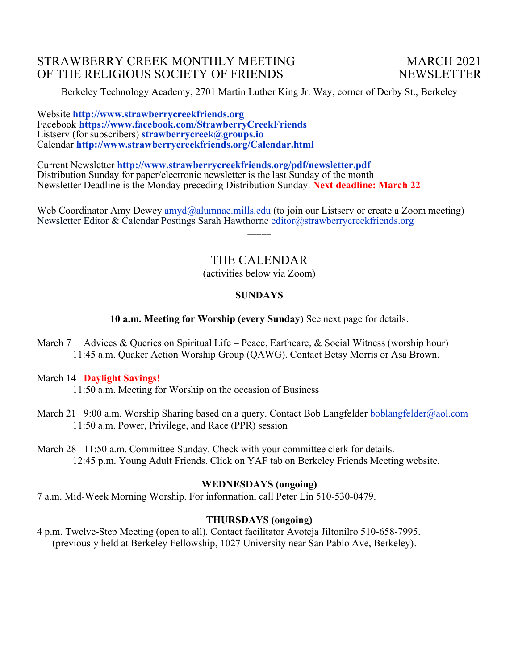Berkeley Technology Academy, 2701 Martin Luther King Jr. Way, corner of Derby St., Berkeley

Website **http://www.strawberrycreekfriends.org**  Facebook **https://www.facebook.com/StrawberryCreekFriends** Listserv (for subscribers) **strawberrycreek@groups.io** Calendar **http://www.strawberrycreekfriends.org/Calendar.html**

Current Newsletter **http://www.strawberrycreekfriends.org/pdf/newsletter.pdf** Distribution Sunday for paper/electronic newsletter is the last Sunday of the month Newsletter Deadline is the Monday preceding Distribution Sunday. **Next deadline: March 22**

Web Coordinator Amy Dewey amyd@alumnae.mills.edu (to join our Listsery or create a Zoom meeting) Newsletter Editor & Calendar Postings Sarah Hawthorne editor@strawberrycreekfriends.org

# THE CALENDAR

 $\overline{\phantom{a}}$ 

(activities below via Zoom)

#### **SUNDAYS**

**10 a.m. Meeting for Worship (every Sunday**) See next page for details.

March 7 Advices & Queries on Spiritual Life – Peace, Earthcare, & Social Witness (worship hour) 11:45 a.m. Quaker Action Worship Group (QAWG). Contact Betsy Morris or Asa Brown.

#### March 14 **Daylight Savings!**

11:50 a.m. Meeting for Worship on the occasion of Business

March 21 9:00 a.m. Worship Sharing based on a query. Contact Bob Langfelder boblangfelder@aol.com 11:50 a.m. Power, Privilege, and Race (PPR) session

March 28 11:50 a.m. Committee Sunday. Check with your committee clerk for details. 12:45 p.m. Young Adult Friends. Click on YAF tab on Berkeley Friends Meeting website.

#### **WEDNESDAYS (ongoing)**

7 a.m. Mid-Week Morning Worship. For information, call Peter Lin 510-530-0479.

#### **THURSDAYS (ongoing)**

4 p.m. Twelve-Step Meeting (open to all). Contact facilitator Avotcja Jiltonilro 510-658-7995. (previously held at Berkeley Fellowship, 1027 University near San Pablo Ave, Berkeley).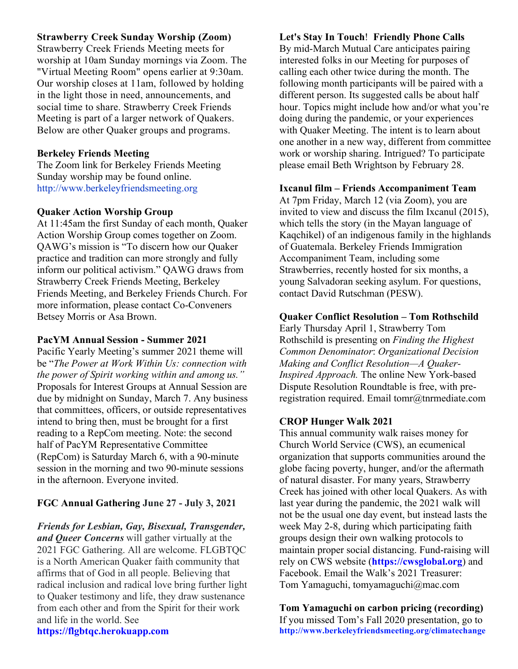## **Strawberry Creek Sunday Worship (Zoom)**

Strawberry Creek Friends Meeting meets for worship at 10am Sunday mornings via Zoom. The "Virtual Meeting Room" opens earlier at 9:30am. Our worship closes at 11am, followed by holding in the light those in need, announcements, and social time to share. Strawberry Creek Friends Meeting is part of a larger network of Quakers. Below are other Quaker groups and programs.

## **Berkeley Friends Meeting**

The Zoom link for Berkeley Friends Meeting Sunday worship may be found online. http://www.berkeleyfriendsmeeting.org

## **Quaker Action Worship Group**

At 11:45am the first Sunday of each month, Quaker Action Worship Group comes together on Zoom. QAWG's mission is "To discern how our Quaker practice and tradition can more strongly and fully inform our political activism." QAWG draws from Strawberry Creek Friends Meeting, Berkeley Friends Meeting, and Berkeley Friends Church. For more information, please contact Co-Conveners Betsey Morris or Asa Brown.

#### **PacYM Annual Session - Summer 2021**

Pacific Yearly Meeting's summer 2021 theme will be "*The Power at Work Within Us: connection with the power of Spirit working within and among us."* Proposals for Interest Groups at Annual Session are due by midnight on Sunday, March 7. Any business that committees, officers, or outside representatives intend to bring then, must be brought for a first reading to a RepCom meeting. Note: the second half of PacYM Representative Committee (RepCom) is Saturday March 6, with a 90-minute session in the morning and two 90-minute sessions in the afternoon. Everyone invited.

# **FGC Annual Gathering June 27 - July 3, 2021**

*Friends for Lesbian, Gay, Bisexual, Transgender, and Queer Concerns* will gather virtually at the 2021 FGC Gathering. All are welcome. FLGBTQC is a North American Quaker faith community that affirms that of God in all people. Believing that radical inclusion and radical love bring further light to Quaker testimony and life, they draw sustenance from each other and from the Spirit for their work and life in the world. See

## **https://flgbtqc.herokuapp.com**

# **Let's Stay In Touch**! **Friendly Phone Calls**

By mid-March Mutual Care anticipates pairing interested folks in our Meeting for purposes of calling each other twice during the month. The following month participants will be paired with a different person. Its suggested calls be about half hour. Topics might include how and/or what you're doing during the pandemic, or your experiences with Quaker Meeting. The intent is to learn about one another in a new way, different from committee work or worship sharing. Intrigued? To participate please email Beth Wrightson by February 28.

## **Ixcanul film – Friends Accompaniment Team**

At 7pm Friday, March 12 (via Zoom), you are invited to view and discuss the film Ixcanul (2015), which tells the story (in the Mayan language of Kaqchikel) of an indigenous family in the highlands of Guatemala. Berkeley Friends Immigration Accompaniment Team, including some Strawberries, recently hosted for six months, a young Salvadoran seeking asylum. For questions, contact David Rutschman (PESW).

## **Quaker Conflict Resolution – Tom Rothschild**

Early Thursday April 1, Strawberry Tom Rothschild is presenting on *Finding the Highest Common Denominator*: *Organizational Decision Making and Conflict Resolution—A Quaker-Inspired Approach.* The online New York-based Dispute Resolution Roundtable is free, with preregistration required. Email tomr@tnrmediate.com

## **CROP Hunger Walk 2021**

This annual community walk raises money for Church World Service (CWS), an ecumenical organization that supports communities around the globe facing poverty, hunger, and/or the aftermath of natural disaster. For many years, Strawberry Creek has joined with other local Quakers. As with last year during the pandemic, the 2021 walk will not be the usual one day event, but instead lasts the week May 2-8, during which participating faith groups design their own walking protocols to maintain proper social distancing. Fund-raising will rely on CWS website (**https://cwsglobal.org**) and Facebook. Email the Walk's 2021 Treasurer: Tom Yamaguchi, tomyamaguchi@mac.com

**Tom Yamaguchi on carbon pricing (recording)** If you missed Tom's Fall 2020 presentation, go to **http://www.berkeleyfriendsmeeting.org/climatechange**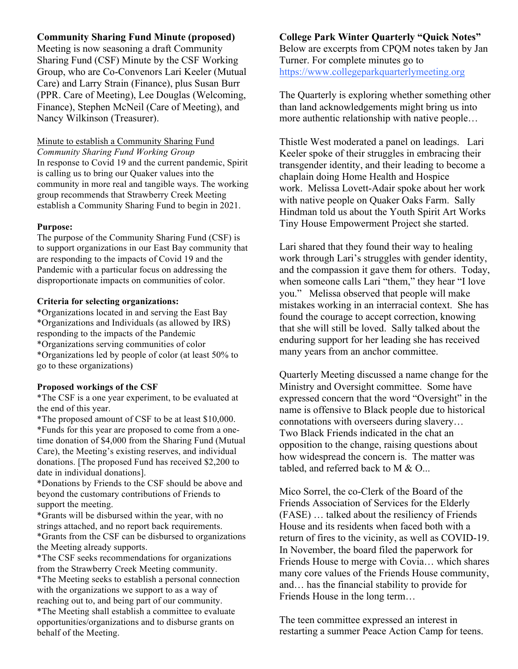## **Community Sharing Fund Minute (proposed)**

Meeting is now seasoning a draft Community Sharing Fund (CSF) Minute by the CSF Working Group, who are Co-Convenors Lari Keeler (Mutual Care) and Larry Strain (Finance), plus Susan Burr (PPR. Care of Meeting), Lee Douglas (Welcoming, Finance), Stephen McNeil (Care of Meeting), and Nancy Wilkinson (Treasurer).

Minute to establish a Community Sharing Fund *Community Sharing Fund Working Group* In response to Covid 19 and the current pandemic, Spirit is calling us to bring our Quaker values into the community in more real and tangible ways. The working group recommends that Strawberry Creek Meeting establish a Community Sharing Fund to begin in 2021.

#### **Purpose:**

The purpose of the Community Sharing Fund (CSF) is to support organizations in our East Bay community that are responding to the impacts of Covid 19 and the Pandemic with a particular focus on addressing the disproportionate impacts on communities of color.

#### **Criteria for selecting organizations:**

\*Organizations located in and serving the East Bay \*Organizations and Individuals (as allowed by IRS) responding to the impacts of the Pandemic \*Organizations serving communities of color \*Organizations led by people of color (at least 50% to go to these organizations)

#### **Proposed workings of the CSF**

\*The CSF is a one year experiment, to be evaluated at the end of this year.

\*The proposed amount of CSF to be at least \$10,000. \*Funds for this year are proposed to come from a onetime donation of \$4,000 from the Sharing Fund (Mutual Care), the Meeting's existing reserves, and individual donations. [The proposed Fund has received \$2,200 to date in individual donations].

\*Donations by Friends to the CSF should be above and beyond the customary contributions of Friends to support the meeting.

\*Grants will be disbursed within the year, with no strings attached, and no report back requirements. \*Grants from the CSF can be disbursed to organizations the Meeting already supports.

\*The CSF seeks recommendations for organizations from the Strawberry Creek Meeting community. \*The Meeting seeks to establish a personal connection with the organizations we support to as a way of reaching out to, and being part of our community. \*The Meeting shall establish a committee to evaluate opportunities/organizations and to disburse grants on behalf of the Meeting.

## **College Park Winter Quarterly "Quick Notes"** Below are excerpts from CPQM notes taken by Jan Turner. For complete minutes go to https://www.collegeparkquarterlymeeting.org

The Quarterly is exploring whether something other than land acknowledgements might bring us into more authentic relationship with native people…

Thistle West moderated a panel on leadings. Lari Keeler spoke of their struggles in embracing their transgender identity, and their leading to become a chaplain doing Home Health and Hospice work. Melissa Lovett-Adair spoke about her work with native people on Quaker Oaks Farm. Sally Hindman told us about the Youth Spirit Art Works Tiny House Empowerment Project she started.

Lari shared that they found their way to healing work through Lari's struggles with gender identity, and the compassion it gave them for others. Today, when someone calls Lari "them," they hear "I love you." Melissa observed that people will make mistakes working in an interracial context. She has found the courage to accept correction, knowing that she will still be loved. Sally talked about the enduring support for her leading she has received many years from an anchor committee.

Quarterly Meeting discussed a name change for the Ministry and Oversight committee. Some have expressed concern that the word "Oversight" in the name is offensive to Black people due to historical connotations with overseers during slavery… Two Black Friends indicated in the chat an opposition to the change, raising questions about how widespread the concern is. The matter was tabled, and referred back to M  $\&$  O...

Mico Sorrel, the co-Clerk of the Board of the Friends Association of Services for the Elderly (FASE) … talked about the resiliency of Friends House and its residents when faced both with a return of fires to the vicinity, as well as COVID-19. In November, the board filed the paperwork for Friends House to merge with Covia… which shares many core values of the Friends House community, and… has the financial stability to provide for Friends House in the long term…

The teen committee expressed an interest in restarting a summer Peace Action Camp for teens.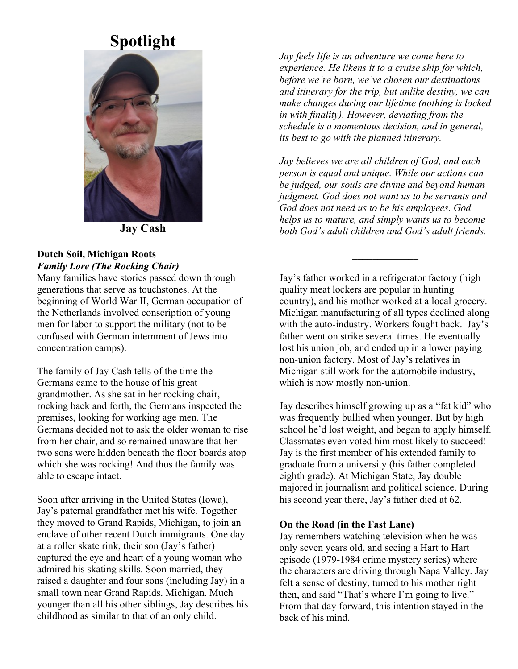# **Spotlight**



**Jay Cash**

#### **Dutch Soil, Michigan Roots** *Family Lore (The Rocking Chair)*

Many families have stories passed down through generations that serve as touchstones. At the beginning of World War II, German occupation of the Netherlands involved conscription of young men for labor to support the military (not to be confused with German internment of Jews into concentration camps).

The family of Jay Cash tells of the time the Germans came to the house of his great grandmother. As she sat in her rocking chair, rocking back and forth, the Germans inspected the premises, looking for working age men. The Germans decided not to ask the older woman to rise from her chair, and so remained unaware that her two sons were hidden beneath the floor boards atop which she was rocking! And thus the family was able to escape intact.

Soon after arriving in the United States (Iowa), Jay's paternal grandfather met his wife. Together they moved to Grand Rapids, Michigan, to join an enclave of other recent Dutch immigrants. One day at a roller skate rink, their son (Jay's father) captured the eye and heart of a young woman who admired his skating skills. Soon married, they raised a daughter and four sons (including Jay) in a small town near Grand Rapids. Michigan. Much younger than all his other siblings, Jay describes his childhood as similar to that of an only child.

*Jay feels life is an adventure we come here to experience. He likens it to a cruise ship for which, before we're born, we've chosen our destinations and itinerary for the trip, but unlike destiny, we can make changes during our lifetime (nothing is locked in with finality). However, deviating from the schedule is a momentous decision, and in general, its best to go with the planned itinerary.*

*Jay believes we are all children of God, and each person is equal and unique. While our actions can be judged, our souls are divine and beyond human judgment. God does not want us to be servants and God does not need us to be his employees. God helps us to mature, and simply wants us to become both God's adult children and God's adult friends.*

 $\mathcal{L}_\text{max}$ 

Jay's father worked in a refrigerator factory (high quality meat lockers are popular in hunting country), and his mother worked at a local grocery. Michigan manufacturing of all types declined along with the auto-industry. Workers fought back. Jay's father went on strike several times. He eventually lost his union job, and ended up in a lower paying non-union factory. Most of Jay's relatives in Michigan still work for the automobile industry, which is now mostly non-union.

Jay describes himself growing up as a "fat kid" who was frequently bullied when younger. But by high school he'd lost weight, and began to apply himself. Classmates even voted him most likely to succeed! Jay is the first member of his extended family to graduate from a university (his father completed eighth grade). At Michigan State, Jay double majored in journalism and political science. During his second year there, Jay's father died at 62.

#### **On the Road (in the Fast Lane)**

Jay remembers watching television when he was only seven years old, and seeing a Hart to Hart episode (1979-1984 crime mystery series) where the characters are driving through Napa Valley. Jay felt a sense of destiny, turned to his mother right then, and said "That's where I'm going to live." From that day forward, this intention stayed in the back of his mind.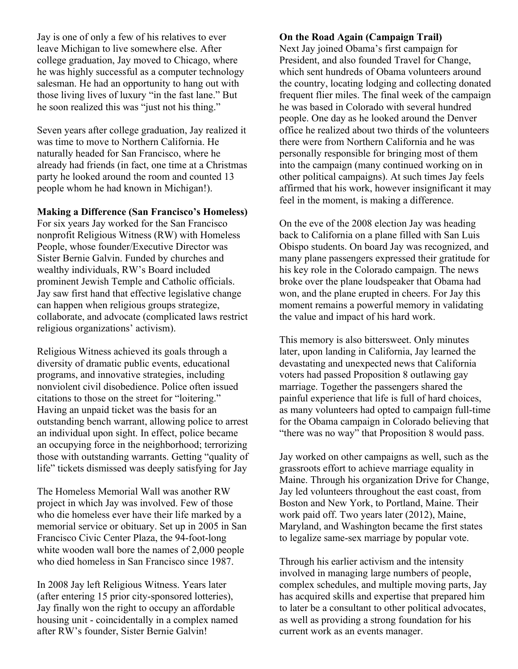Jay is one of only a few of his relatives to ever leave Michigan to live somewhere else. After college graduation, Jay moved to Chicago, where he was highly successful as a computer technology salesman. He had an opportunity to hang out with those living lives of luxury "in the fast lane." But he soon realized this was "just not his thing."

Seven years after college graduation, Jay realized it was time to move to Northern California. He naturally headed for San Francisco, where he already had friends (in fact, one time at a Christmas party he looked around the room and counted 13 people whom he had known in Michigan!).

#### **Making a Difference (San Francisco's Homeless)**

For six years Jay worked for the San Francisco nonprofit Religious Witness (RW) with Homeless People, whose founder/Executive Director was Sister Bernie Galvin. Funded by churches and wealthy individuals, RW's Board included prominent Jewish Temple and Catholic officials. Jay saw first hand that effective legislative change can happen when religious groups strategize, collaborate, and advocate (complicated laws restrict religious organizations' activism).

Religious Witness achieved its goals through a diversity of dramatic public events, educational programs, and innovative strategies, including nonviolent civil disobedience. Police often issued citations to those on the street for "loitering." Having an unpaid ticket was the basis for an outstanding bench warrant, allowing police to arrest an individual upon sight. In effect, police became an occupying force in the neighborhood; terrorizing those with outstanding warrants. Getting "quality of life" tickets dismissed was deeply satisfying for Jay

The Homeless Memorial Wall was another RW project in which Jay was involved. Few of those who die homeless ever have their life marked by a memorial service or obituary. Set up in 2005 in San Francisco Civic Center Plaza, the 94-foot-long white wooden wall bore the names of 2,000 people who died homeless in San Francisco since 1987.

In 2008 Jay left Religious Witness. Years later (after entering 15 prior city-sponsored lotteries), Jay finally won the right to occupy an affordable housing unit - coincidentally in a complex named after RW's founder, Sister Bernie Galvin!

## **On the Road Again (Campaign Trail)**

Next Jay joined Obama's first campaign for President, and also founded Travel for Change, which sent hundreds of Obama volunteers around the country, locating lodging and collecting donated frequent flier miles. The final week of the campaign he was based in Colorado with several hundred people. One day as he looked around the Denver office he realized about two thirds of the volunteers there were from Northern California and he was personally responsible for bringing most of them into the campaign (many continued working on in other political campaigns). At such times Jay feels affirmed that his work, however insignificant it may feel in the moment, is making a difference.

On the eve of the 2008 election Jay was heading back to California on a plane filled with San Luis Obispo students. On board Jay was recognized, and many plane passengers expressed their gratitude for his key role in the Colorado campaign. The news broke over the plane loudspeaker that Obama had won, and the plane erupted in cheers. For Jay this moment remains a powerful memory in validating the value and impact of his hard work.

This memory is also bittersweet. Only minutes later, upon landing in California, Jay learned the devastating and unexpected news that California voters had passed Proposition 8 outlawing gay marriage. Together the passengers shared the painful experience that life is full of hard choices, as many volunteers had opted to campaign full-time for the Obama campaign in Colorado believing that "there was no way" that Proposition 8 would pass.

Jay worked on other campaigns as well, such as the grassroots effort to achieve marriage equality in Maine. Through his organization Drive for Change, Jay led volunteers throughout the east coast, from Boston and New York, to Portland, Maine. Their work paid off. Two years later (2012), Maine, Maryland, and Washington became the first states to legalize same-sex marriage by popular vote.

Through his earlier activism and the intensity involved in managing large numbers of people, complex schedules, and multiple moving parts, Jay has acquired skills and expertise that prepared him to later be a consultant to other political advocates, as well as providing a strong foundation for his current work as an events manager.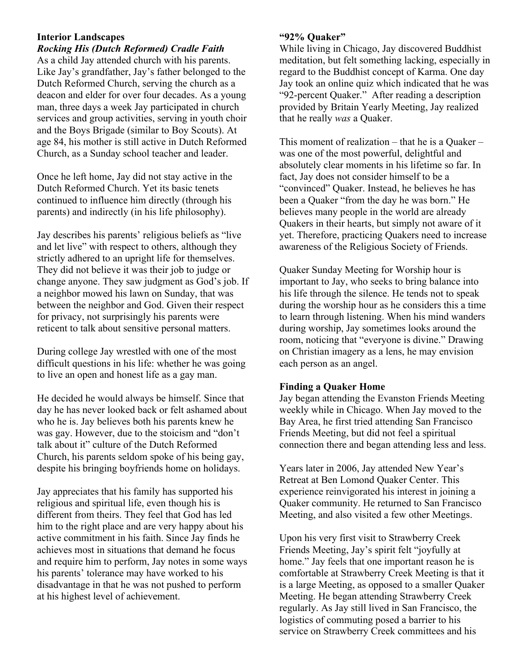## **Interior Landscapes**

*Rocking His (Dutch Reformed) Cradle Faith*  As a child Jay attended church with his parents. Like Jay's grandfather, Jay's father belonged to the Dutch Reformed Church, serving the church as a deacon and elder for over four decades. As a young man, three days a week Jay participated in church services and group activities, serving in youth choir and the Boys Brigade (similar to Boy Scouts). At age 84, his mother is still active in Dutch Reformed Church, as a Sunday school teacher and leader.

Once he left home, Jay did not stay active in the Dutch Reformed Church. Yet its basic tenets continued to influence him directly (through his parents) and indirectly (in his life philosophy).

Jay describes his parents' religious beliefs as "live and let live" with respect to others, although they strictly adhered to an upright life for themselves. They did not believe it was their job to judge or change anyone. They saw judgment as God's job. If a neighbor mowed his lawn on Sunday, that was between the neighbor and God. Given their respect for privacy, not surprisingly his parents were reticent to talk about sensitive personal matters.

During college Jay wrestled with one of the most difficult questions in his life: whether he was going to live an open and honest life as a gay man.

He decided he would always be himself. Since that day he has never looked back or felt ashamed about who he is. Jay believes both his parents knew he was gay. However, due to the stoicism and "don't talk about it" culture of the Dutch Reformed Church, his parents seldom spoke of his being gay, despite his bringing boyfriends home on holidays.

Jay appreciates that his family has supported his religious and spiritual life, even though his is different from theirs. They feel that God has led him to the right place and are very happy about his active commitment in his faith. Since Jay finds he achieves most in situations that demand he focus and require him to perform, Jay notes in some ways his parents' tolerance may have worked to his disadvantage in that he was not pushed to perform at his highest level of achievement.

## **"92% Quaker"**

While living in Chicago, Jay discovered Buddhist meditation, but felt something lacking, especially in regard to the Buddhist concept of Karma. One day Jay took an online quiz which indicated that he was "92-percent Quaker." After reading a description provided by Britain Yearly Meeting, Jay realized that he really *was* a Quaker.

This moment of realization – that he is a Quaker – was one of the most powerful, delightful and absolutely clear moments in his lifetime so far. In fact, Jay does not consider himself to be a "convinced" Quaker. Instead, he believes he has been a Quaker "from the day he was born." He believes many people in the world are already Quakers in their hearts, but simply not aware of it yet. Therefore, practicing Quakers need to increase awareness of the Religious Society of Friends.

Quaker Sunday Meeting for Worship hour is important to Jay, who seeks to bring balance into his life through the silence. He tends not to speak during the worship hour as he considers this a time to learn through listening. When his mind wanders during worship, Jay sometimes looks around the room, noticing that "everyone is divine." Drawing on Christian imagery as a lens, he may envision each person as an angel.

#### **Finding a Quaker Home**

Jay began attending the Evanston Friends Meeting weekly while in Chicago. When Jay moved to the Bay Area, he first tried attending San Francisco Friends Meeting, but did not feel a spiritual connection there and began attending less and less.

Years later in 2006, Jay attended New Year's Retreat at Ben Lomond Quaker Center. This experience reinvigorated his interest in joining a Quaker community. He returned to San Francisco Meeting, and also visited a few other Meetings.

Upon his very first visit to Strawberry Creek Friends Meeting, Jay's spirit felt "joyfully at home." Jay feels that one important reason he is comfortable at Strawberry Creek Meeting is that it is a large Meeting, as opposed to a smaller Quaker Meeting. He began attending Strawberry Creek regularly. As Jay still lived in San Francisco, the logistics of commuting posed a barrier to his service on Strawberry Creek committees and his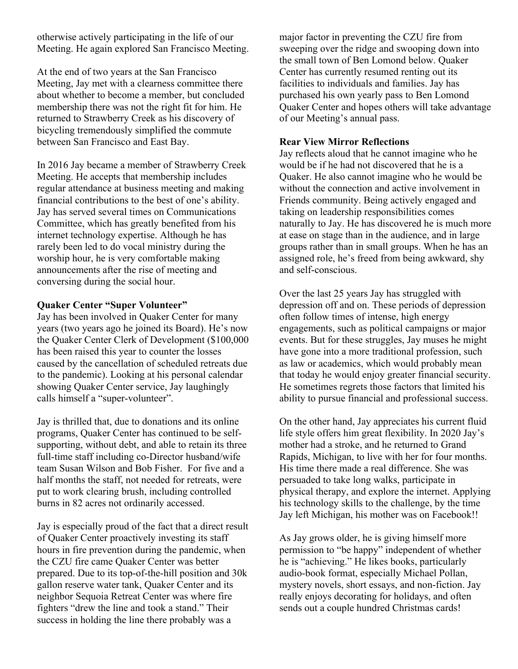otherwise actively participating in the life of our Meeting. He again explored San Francisco Meeting.

At the end of two years at the San Francisco Meeting, Jay met with a clearness committee there about whether to become a member, but concluded membership there was not the right fit for him. He returned to Strawberry Creek as his discovery of bicycling tremendously simplified the commute between San Francisco and East Bay.

In 2016 Jay became a member of Strawberry Creek Meeting. He accepts that membership includes regular attendance at business meeting and making financial contributions to the best of one's ability. Jay has served several times on Communications Committee, which has greatly benefited from his internet technology expertise. Although he has rarely been led to do vocal ministry during the worship hour, he is very comfortable making announcements after the rise of meeting and conversing during the social hour.

## **Quaker Center "Super Volunteer"**

Jay has been involved in Quaker Center for many years (two years ago he joined its Board). He's now the Quaker Center Clerk of Development (\$100,000 has been raised this year to counter the losses caused by the cancellation of scheduled retreats due to the pandemic). Looking at his personal calendar showing Quaker Center service, Jay laughingly calls himself a "super-volunteer".

Jay is thrilled that, due to donations and its online programs, Quaker Center has continued to be selfsupporting, without debt, and able to retain its three full-time staff including co-Director husband/wife team Susan Wilson and Bob Fisher. For five and a half months the staff, not needed for retreats, were put to work clearing brush, including controlled burns in 82 acres not ordinarily accessed.

Jay is especially proud of the fact that a direct result of Quaker Center proactively investing its staff hours in fire prevention during the pandemic, when the CZU fire came Quaker Center was better prepared. Due to its top-of-the-hill position and 30k gallon reserve water tank, Quaker Center and its neighbor Sequoia Retreat Center was where fire fighters "drew the line and took a stand." Their success in holding the line there probably was a

major factor in preventing the CZU fire from sweeping over the ridge and swooping down into the small town of Ben Lomond below. Quaker Center has currently resumed renting out its facilities to individuals and families. Jay has purchased his own yearly pass to Ben Lomond Quaker Center and hopes others will take advantage of our Meeting's annual pass.

## **Rear View Mirror Reflections**

Jay reflects aloud that he cannot imagine who he would be if he had not discovered that he is a Quaker. He also cannot imagine who he would be without the connection and active involvement in Friends community. Being actively engaged and taking on leadership responsibilities comes naturally to Jay. He has discovered he is much more at ease on stage than in the audience, and in large groups rather than in small groups. When he has an assigned role, he's freed from being awkward, shy and self-conscious.

Over the last 25 years Jay has struggled with depression off and on. These periods of depression often follow times of intense, high energy engagements, such as political campaigns or major events. But for these struggles, Jay muses he might have gone into a more traditional profession, such as law or academics, which would probably mean that today he would enjoy greater financial security. He sometimes regrets those factors that limited his ability to pursue financial and professional success.

On the other hand, Jay appreciates his current fluid life style offers him great flexibility. In 2020 Jay's mother had a stroke, and he returned to Grand Rapids, Michigan, to live with her for four months. His time there made a real difference. She was persuaded to take long walks, participate in physical therapy, and explore the internet. Applying his technology skills to the challenge, by the time Jay left Michigan, his mother was on Facebook!!

As Jay grows older, he is giving himself more permission to "be happy" independent of whether he is "achieving." He likes books, particularly audio-book format, especially Michael Pollan, mystery novels, short essays, and non-fiction. Jay really enjoys decorating for holidays, and often sends out a couple hundred Christmas cards!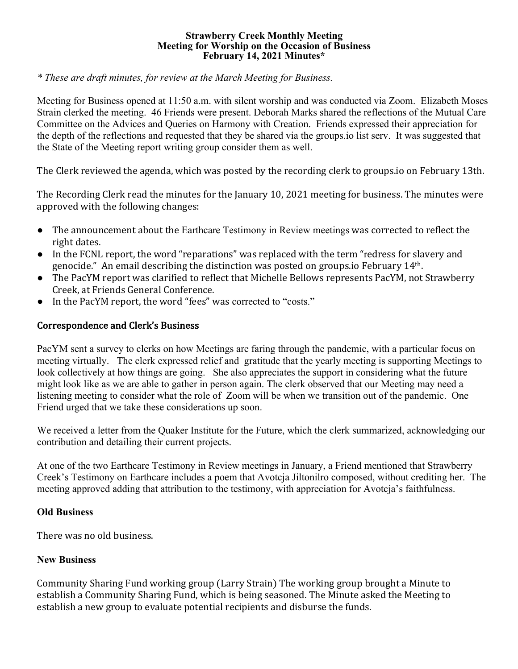#### **Strawberry Creek Monthly Meeting Meeting for Worship on the Occasion of Business February 14, 2021 Minutes\***

*\* These are draft minutes, for review at the March Meeting for Business.*

Meeting for Business opened at 11:50 a.m. with silent worship and was conducted via Zoom. Elizabeth Moses Strain clerked the meeting. 46 Friends were present. Deborah Marks shared the reflections of the Mutual Care Committee on the Advices and Queries on Harmony with Creation. Friends expressed their appreciation for the depth of the reflections and requested that they be shared via the groups.io list serv. It was suggested that the State of the Meeting report writing group consider them as well.

The Clerk reviewed the agenda, which was posted by the recording clerk to groups.io on February 13th.

The Recording Clerk read the minutes for the January 10, 2021 meeting for business. The minutes were approved with the following changes:

- The announcement about the Earthcare Testimony in Review meetings was corrected to reflect the right dates.
- In the FCNL report, the word "reparations" was replaced with the term "redress for slavery and genocide." An email describing the distinction was posted on groups.io February 14<sup>th</sup>.
- The PacYM report was clarified to reflect that Michelle Bellows represents PacYM, not Strawberry Creek, at Friends General Conference.
- In the PacYM report, the word "fees" was corrected to "costs."

# Correspondence and Clerk's Business

PacYM sent a survey to clerks on how Meetings are faring through the pandemic, with a particular focus on meeting virtually. The clerk expressed relief and gratitude that the yearly meeting is supporting Meetings to look collectively at how things are going. She also appreciates the support in considering what the future might look like as we are able to gather in person again. The clerk observed that our Meeting may need a listening meeting to consider what the role of Zoom will be when we transition out of the pandemic. One Friend urged that we take these considerations up soon.

We received a letter from the Quaker Institute for the Future, which the clerk summarized, acknowledging our contribution and detailing their current projects.

At one of the two Earthcare Testimony in Review meetings in January, a Friend mentioned that Strawberry Creek's Testimony on Earthcare includes a poem that Avotcja Jiltonilro composed, without crediting her. The meeting approved adding that attribution to the testimony, with appreciation for Avotcja's faithfulness.

## **Old Business**

There was no old business.

## **New Business**

Community Sharing Fund working group (Larry Strain) The working group brought a Minute to establish a Community Sharing Fund, which is being seasoned. The Minute asked the Meeting to establish a new group to evaluate potential recipients and disburse the funds.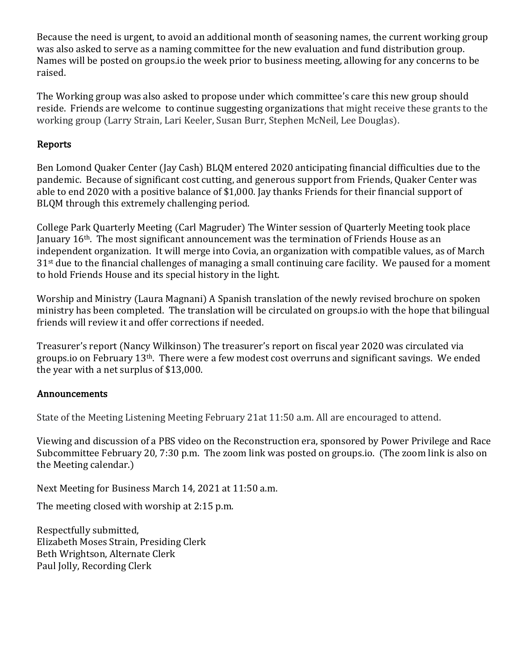Because the need is urgent, to avoid an additional month of seasoning names, the current working group was also asked to serve as a naming committee for the new evaluation and fund distribution group. Names will be posted on groups.io the week prior to business meeting, allowing for any concerns to be raised. 

The Working group was also asked to propose under which committee's care this new group should reside. Friends are welcome to continue suggesting organizations that might receive these grants to the working group (Larry Strain, Lari Keeler, Susan Burr, Stephen McNeil, Lee Douglas).

# Reports

Ben Lomond Quaker Center (Jay Cash) BLQM entered 2020 anticipating financial difficulties due to the pandemic. Because of significant cost cutting, and generous support from Friends, Quaker Center was able to end 2020 with a positive balance of \$1,000. Jay thanks Friends for their financial support of BLQM through this extremely challenging period.

College Park Quarterly Meeting (Carl Magruder) The Winter session of Quarterly Meeting took place January  $16<sup>th</sup>$ . The most significant announcement was the termination of Friends House as an independent organization. It will merge into Covia, an organization with compatible values, as of March  $31<sup>st</sup>$  due to the financial challenges of managing a small continuing care facility. We paused for a moment to hold Friends House and its special history in the light.

Worship and Ministry (Laura Magnani) A Spanish translation of the newly revised brochure on spoken ministry has been completed. The translation will be circulated on groups.io with the hope that bilingual friends will review it and offer corrections if needed.

Treasurer's report (Nancy Wilkinson) The treasurer's report on fiscal year 2020 was circulated via groups.io on February  $13<sup>th</sup>$ . There were a few modest cost overruns and significant savings. We ended the year with a net surplus of  $$13,000$ .

# Announcements

State of the Meeting Listening Meeting February 21at 11:50 a.m. All are encouraged to attend.

Viewing and discussion of a PBS video on the Reconstruction era, sponsored by Power Privilege and Race Subcommittee February 20, 7:30 p.m. The zoom link was posted on groups.io. (The zoom link is also on the Meeting calendar.)

Next Meeting for Business March 14, 2021 at 11:50 a.m.

The meeting closed with worship at  $2:15$  p.m.

Respectfully submitted, Elizabeth Moses Strain, Presiding Clerk Beth Wrightson, Alternate Clerk Paul Jolly, Recording Clerk